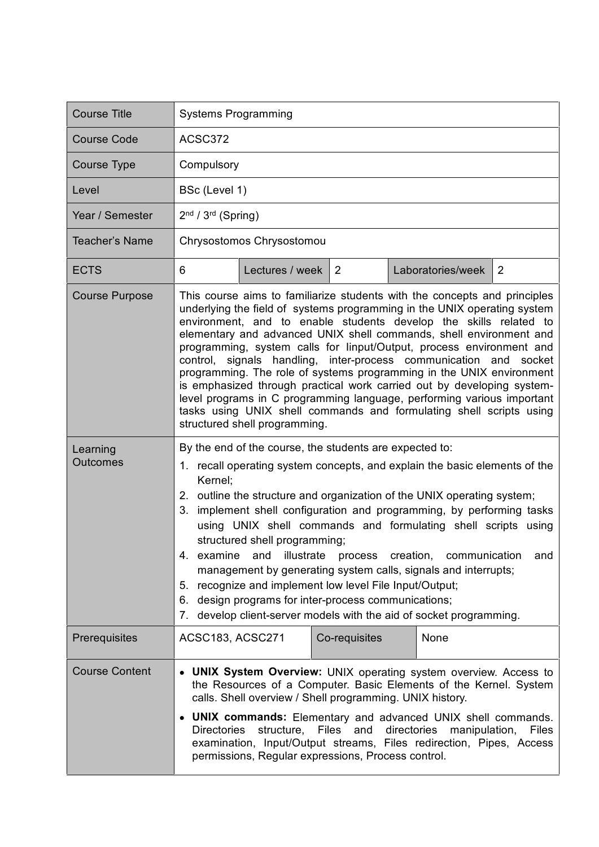| <b>Course Title</b>         | <b>Systems Programming</b>                                                                                                                                                                                                                                                                                                                                                                                                                                                                                                                                                                                                                                                                                                                                                        |                 |               |  |                   |   |
|-----------------------------|-----------------------------------------------------------------------------------------------------------------------------------------------------------------------------------------------------------------------------------------------------------------------------------------------------------------------------------------------------------------------------------------------------------------------------------------------------------------------------------------------------------------------------------------------------------------------------------------------------------------------------------------------------------------------------------------------------------------------------------------------------------------------------------|-----------------|---------------|--|-------------------|---|
| <b>Course Code</b>          | ACSC372                                                                                                                                                                                                                                                                                                                                                                                                                                                                                                                                                                                                                                                                                                                                                                           |                 |               |  |                   |   |
| <b>Course Type</b>          | Compulsory                                                                                                                                                                                                                                                                                                                                                                                                                                                                                                                                                                                                                                                                                                                                                                        |                 |               |  |                   |   |
| Level                       | BSc (Level 1)                                                                                                                                                                                                                                                                                                                                                                                                                                                                                                                                                                                                                                                                                                                                                                     |                 |               |  |                   |   |
| Year / Semester             | $2nd / 3rd$ (Spring)                                                                                                                                                                                                                                                                                                                                                                                                                                                                                                                                                                                                                                                                                                                                                              |                 |               |  |                   |   |
| <b>Teacher's Name</b>       | Chrysostomos Chrysostomou                                                                                                                                                                                                                                                                                                                                                                                                                                                                                                                                                                                                                                                                                                                                                         |                 |               |  |                   |   |
| <b>ECTS</b>                 | 6                                                                                                                                                                                                                                                                                                                                                                                                                                                                                                                                                                                                                                                                                                                                                                                 | Lectures / week | 2             |  | Laboratories/week | 2 |
| <b>Course Purpose</b>       | This course aims to familiarize students with the concepts and principles<br>underlying the field of systems programming in the UNIX operating system<br>environment, and to enable students develop the skills related to<br>elementary and advanced UNIX shell commands, shell environment and<br>programming, system calls for linput/Output, process environment and<br>control, signals handling, inter-process communication and socket<br>programming. The role of systems programming in the UNIX environment<br>is emphasized through practical work carried out by developing system-<br>level programs in C programming language, performing various important<br>tasks using UNIX shell commands and formulating shell scripts using<br>structured shell programming. |                 |               |  |                   |   |
| Learning<br><b>Outcomes</b> | By the end of the course, the students are expected to:<br>1. recall operating system concepts, and explain the basic elements of the<br>Kernel:<br>2. outline the structure and organization of the UNIX operating system;<br>implement shell configuration and programming, by performing tasks<br>3.<br>using UNIX shell commands and formulating shell scripts using<br>structured shell programming;<br>4. examine and illustrate process creation, communication and<br>management by generating system calls, signals and interrupts;<br>5. recognize and implement low level File Input/Output;<br>design programs for inter-process communications;<br>6.<br>develop client-server models with the aid of socket programming.<br>7.                                      |                 |               |  |                   |   |
| Prerequisites               | ACSC183, ACSC271                                                                                                                                                                                                                                                                                                                                                                                                                                                                                                                                                                                                                                                                                                                                                                  |                 | Co-requisites |  | None              |   |
| <b>Course Content</b>       | <b>UNIX System Overview: UNIX operating system overview. Access to</b><br>$\bullet$<br>the Resources of a Computer. Basic Elements of the Kernel. System<br>calls. Shell overview / Shell programming. UNIX history.<br><b>UNIX commands:</b> Elementary and advanced UNIX shell commands.<br>structure, Files and directories<br><b>Directories</b><br>manipulation,<br><b>Files</b><br>examination, Input/Output streams, Files redirection, Pipes, Access<br>permissions, Regular expressions, Process control.                                                                                                                                                                                                                                                                |                 |               |  |                   |   |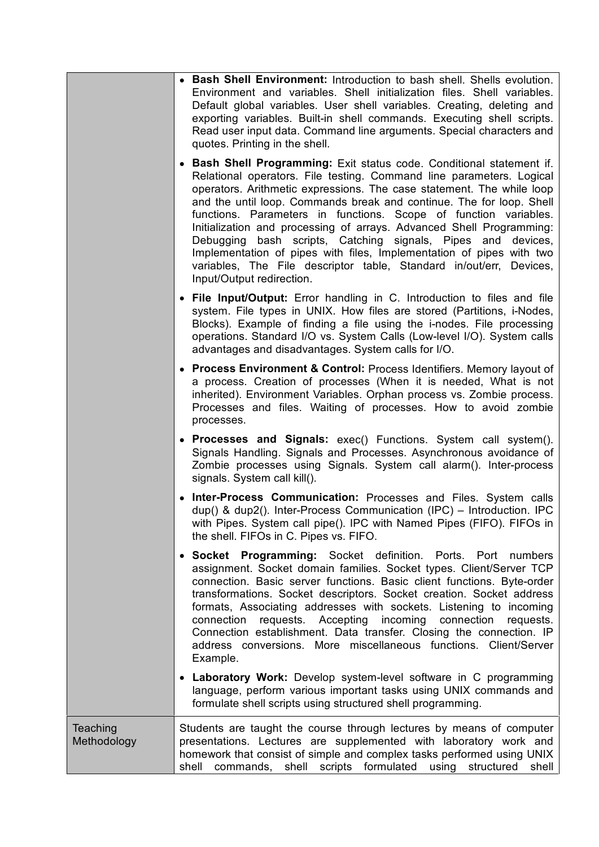|                         | • Bash Shell Environment: Introduction to bash shell. Shells evolution.<br>Environment and variables. Shell initialization files. Shell variables.<br>Default global variables. User shell variables. Creating, deleting and<br>exporting variables. Built-in shell commands. Executing shell scripts.<br>Read user input data. Command line arguments. Special characters and<br>quotes. Printing in the shell.                                                                                                                                                                                                                                                                       |  |  |  |
|-------------------------|----------------------------------------------------------------------------------------------------------------------------------------------------------------------------------------------------------------------------------------------------------------------------------------------------------------------------------------------------------------------------------------------------------------------------------------------------------------------------------------------------------------------------------------------------------------------------------------------------------------------------------------------------------------------------------------|--|--|--|
|                         | • Bash Shell Programming: Exit status code. Conditional statement if.<br>Relational operators. File testing. Command line parameters. Logical<br>operators. Arithmetic expressions. The case statement. The while loop<br>and the until loop. Commands break and continue. The for loop. Shell<br>functions. Parameters in functions. Scope of function variables.<br>Initialization and processing of arrays. Advanced Shell Programming:<br>Debugging bash scripts, Catching signals, Pipes and devices,<br>Implementation of pipes with files, Implementation of pipes with two<br>variables, The File descriptor table, Standard in/out/err, Devices,<br>Input/Output redirection. |  |  |  |
|                         | • File Input/Output: Error handling in C. Introduction to files and file<br>system. File types in UNIX. How files are stored (Partitions, i-Nodes,<br>Blocks). Example of finding a file using the i-nodes. File processing<br>operations. Standard I/O vs. System Calls (Low-level I/O). System calls<br>advantages and disadvantages. System calls for I/O.                                                                                                                                                                                                                                                                                                                          |  |  |  |
|                         | • Process Environment & Control: Process Identifiers. Memory layout of<br>a process. Creation of processes (When it is needed, What is not<br>inherited). Environment Variables. Orphan process vs. Zombie process.<br>Processes and files. Waiting of processes. How to avoid zombie<br>processes.                                                                                                                                                                                                                                                                                                                                                                                    |  |  |  |
|                         | • Processes and Signals: exec() Functions. System call system().<br>Signals Handling. Signals and Processes. Asynchronous avoidance of<br>Zombie processes using Signals. System call alarm(). Inter-process<br>signals. System call kill().                                                                                                                                                                                                                                                                                                                                                                                                                                           |  |  |  |
|                         | • Inter-Process Communication: Processes and Files. System calls<br>dup() & dup2(). Inter-Process Communication (IPC) – Introduction. IPC<br>with Pipes. System call pipe(). IPC with Named Pipes (FIFO). FIFOs in<br>the shell. FIFOs in C. Pipes vs. FIFO.                                                                                                                                                                                                                                                                                                                                                                                                                           |  |  |  |
|                         | • Socket Programming: Socket definition. Ports. Port numbers<br>assignment. Socket domain families. Socket types. Client/Server TCP<br>connection. Basic server functions. Basic client functions. Byte-order<br>transformations. Socket descriptors. Socket creation. Socket address<br>formats, Associating addresses with sockets. Listening to incoming<br>requests. Accepting<br>connection<br>incoming<br>connection<br>requests.<br>Connection establishment. Data transfer. Closing the connection. IP<br>address conversions. More miscellaneous functions. Client/Server<br>Example.                                                                                         |  |  |  |
|                         | • Laboratory Work: Develop system-level software in C programming<br>language, perform various important tasks using UNIX commands and<br>formulate shell scripts using structured shell programming.                                                                                                                                                                                                                                                                                                                                                                                                                                                                                  |  |  |  |
| Teaching<br>Methodology | Students are taught the course through lectures by means of computer<br>presentations. Lectures are supplemented with laboratory work and<br>homework that consist of simple and complex tasks performed using UNIX<br>shell commands, shell scripts formulated using structured shell                                                                                                                                                                                                                                                                                                                                                                                                 |  |  |  |